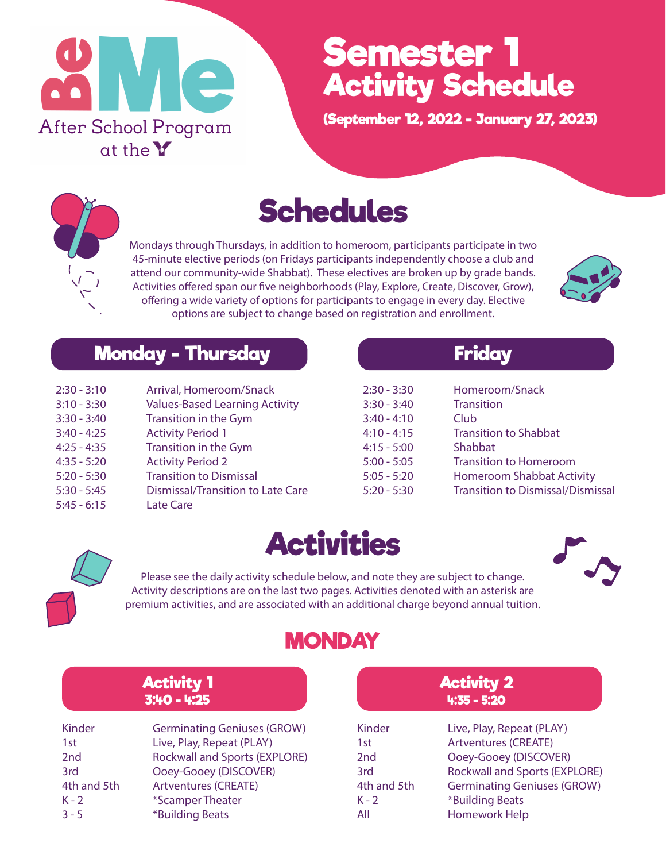

## **Semester 1 Activity Schedule**

**(September 12, 2022 - January 27, 2023)**



## **Schedules**

Mondays through Thursdays, in addition to homeroom, participants participate in two 45-minute elective periods (on Fridays participants independently choose a club and attend our community-wide Shabbat). These electives are broken up by grade bands. Activities offered span our five neighborhoods (Play, Explore, Create, Discover, Grow), offering a wide variety of options for participants to engage in every day. Elective options are subject to change based on registration and enrollment.



#### **Monday - Thursday Results of the Friday**

| $2:30 - 3:10$ | Arrival, Homeroom/Snack                  |
|---------------|------------------------------------------|
| $3:10 - 3:30$ | <b>Values-Based Learning Activity</b>    |
| $3:30 - 3:40$ | Transition in the Gym                    |
| $3:40 - 4:25$ | <b>Activity Period 1</b>                 |
| $4:25 - 4:35$ | Transition in the Gym                    |
| $4:35 - 5:20$ | <b>Activity Period 2</b>                 |
| $5:20 - 5:30$ | <b>Transition to Dismissal</b>           |
| $5:30 - 5:45$ | <b>Dismissal/Transition to Late Care</b> |
| $5:45 - 6:15$ | Late Care                                |

| $2:30 - 3:30$<br>$3:30 - 3:40$<br>$3:40 - 4:10$<br>$4:10 - 4:15$<br>$4:15 - 5:00$<br>$5:00 - 5:05$<br>$5:05 - 5:20$ | Homeroom/Snack<br><b>Transition</b><br>Club<br><b>Transition to Shabbat</b><br>Shabbat<br><b>Transition to Homeroom</b><br><b>Homeroom Shabbat Activity</b> |
|---------------------------------------------------------------------------------------------------------------------|-------------------------------------------------------------------------------------------------------------------------------------------------------------|
| $5:20 - 5:30$                                                                                                       | <b>Transition to Dismissal/Dismissal</b>                                                                                                                    |
|                                                                                                                     |                                                                                                                                                             |



**Activities**



Please see the daily activity schedule below, and note they are subject to change. Activity descriptions are on the last two pages. Activities denoted with an asterisk are premium activities, and are associated with an additional charge beyond annual tuition.

#### **MONDAY**

| <b>Activity 1</b><br>$3:40 - 4:25$ |                                    | <b>Activity 2</b><br>$4:35 - 5:20$ |                                      |
|------------------------------------|------------------------------------|------------------------------------|--------------------------------------|
| Kinder                             | <b>Germinating Geniuses (GROW)</b> | Kinder                             | Live, Play, Repeat (PLAY)            |
| 1st                                | Live, Play, Repeat (PLAY)          | 1st                                | <b>Artventures (CREATE)</b>          |
| 2 <sub>nd</sub>                    | Rockwall and Sports (EXPLORE)      | 2 <sub>nd</sub>                    | Ooey-Gooey (DISCOVER)                |
| 3rd                                | Ooey-Gooey (DISCOVER)              | 3rd                                | <b>Rockwall and Sports (EXPLORE)</b> |
| 4th and 5th                        | <b>Artventures (CREATE)</b>        | 4th and 5th                        | <b>Germinating Geniuses (GROW)</b>   |
| $K - 2$                            | *Scamper Theater                   | $K - 2$                            | *Building Beats                      |
| $3 - 5$                            | *Building Beats                    | All                                | Homework Help                        |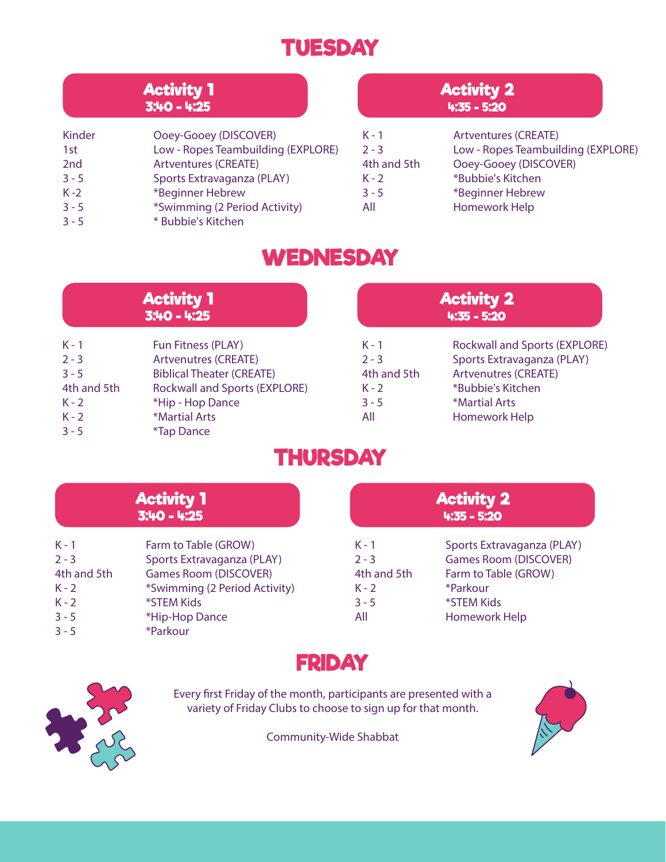#### **TUESDAY**

| <b>Activity 1</b><br>$3:40 - 4:25$ |                                                     | <b>Activity 2</b><br>$4:35 - 5:20$ |                                    |
|------------------------------------|-----------------------------------------------------|------------------------------------|------------------------------------|
| Kinder                             | Ooey-Gooey (DISCOVER)                               | $K - 1$                            | <b>Artventures (CREATE)</b>        |
| 1st                                | Low - Ropes Teambuilding (EXPLORE)                  | $2 - 3$                            | Low - Ropes Teambuilding (EXPLORE) |
| 2 <sub>nd</sub>                    | <b>Artventures (CREATE)</b>                         | 4th and 5th                        | Ooey-Gooey (DISCOVER)              |
| $3 - 5$                            | Sports Extravaganza (PLAY)                          | $K - 2$                            | *Bubbie's Kitchen                  |
| $K - 2$                            | *Beginner Hebrew                                    | $3 - 5$                            | *Beginner Hebrew                   |
| $3 - 5$<br>$3 - 5$                 | *Swimming (2 Period Activity)<br>* Bubbie's Kitchen | All                                | Homework Help                      |

#### **WEDNESDAY**

| <b>Activity 1</b>                                                             |                                                                                                                                                                                                | <b>Activity 2</b>                                              |                                                                                                                                                          |
|-------------------------------------------------------------------------------|------------------------------------------------------------------------------------------------------------------------------------------------------------------------------------------------|----------------------------------------------------------------|----------------------------------------------------------------------------------------------------------------------------------------------------------|
| $3:40 - 4:25$                                                                 |                                                                                                                                                                                                | $4:35 - 5:20$                                                  |                                                                                                                                                          |
| $K - 1$<br>$2 - 3$<br>$3 - 5$<br>4th and 5th<br>$K - 2$<br>$K - 2$<br>$3 - 5$ | Fun Fitness (PLAY)<br><b>Artvenutres (CREATE)</b><br><b>Biblical Theater (CREATE)</b><br><b>Rockwall and Sports (EXPLORE)</b><br>*Hip - Hop Dance<br>*Martial Arts<br><i><b>*Tap Dance</b></i> | $K - 1$<br>$2 - 3$<br>4th and 5th<br>$K - 2$<br>$3 - 5$<br>All | Rockwall and Sports (EXPLORE)<br>Sports Extravaganza (PLAY)<br><b>Artvenutres (CREATE)</b><br>*Bubbie's Kitchen<br>*Martial Arts<br><b>Homework Help</b> |

#### **THURSDAY**

| <b>Activity 1</b>                                                             |                                                                                                                                                                 | <b>Activity 2</b>                                              |                                                                                                                                      |
|-------------------------------------------------------------------------------|-----------------------------------------------------------------------------------------------------------------------------------------------------------------|----------------------------------------------------------------|--------------------------------------------------------------------------------------------------------------------------------------|
| $3:40 - 4:25$                                                                 |                                                                                                                                                                 | $4:35 - 5:20$                                                  |                                                                                                                                      |
| $K - 1$<br>$2 - 3$<br>4th and 5th<br>$K - 2$<br>$K - 2$<br>$3 - 5$<br>$3 - 5$ | Farm to Table (GROW)<br>Sports Extravaganza (PLAY)<br><b>Games Room (DISCOVER)</b><br>*Swimming (2 Period Activity)<br>*STEM Kids<br>*Hip-Hop Dance<br>*Parkour | $K - 1$<br>$2 - 3$<br>4th and 5th<br>$K - 2$<br>$3 - 5$<br>All | Sports Extravaganza (PLAY)<br><b>Games Room (DISCOVER)</b><br>Farm to Table (GROW)<br>*Parkour<br>*STEM Kids<br><b>Homework Help</b> |





Every first Friday of the month, participants are presented with a variety of Friday Clubs to choose to sign up for that month.

Community-Wide Shabbat

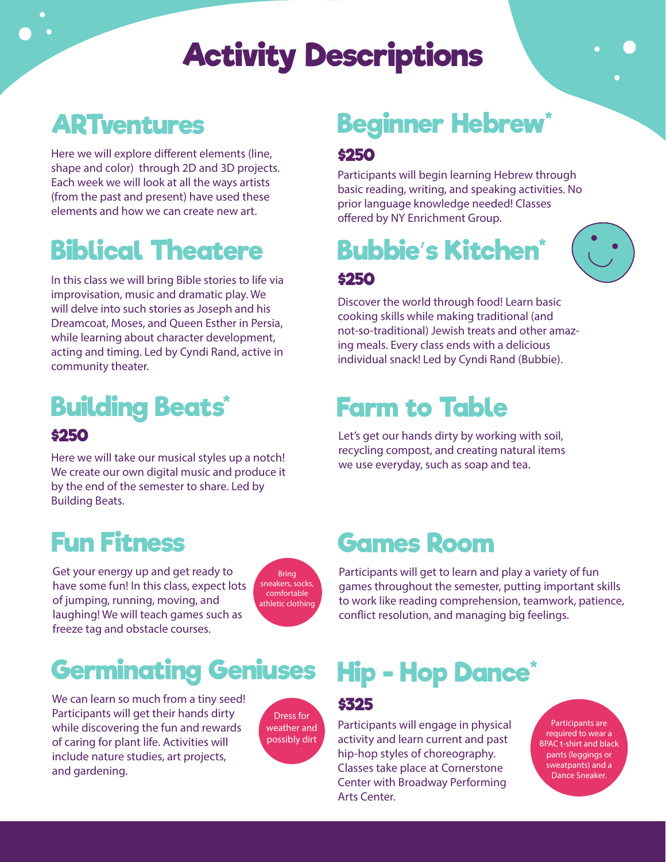## **Activity Descriptions**

### **ARTventures**

Here we will explore different elements (line, shape and color) through 2D and 3D projects. Each week we will look at all the ways artists (from the past and present) have used these elements and how we can create new art.

## **Biblical Theatere**

In this class we will bring Bible stories to life via improvisation, music and dramatic play. We will delve into such stories as Joseph and his Dreamcoat, Moses, and Queen Esther in Persia, while learning about character development, acting and timing. Led by Cyndi Rand, active in community theater.

#### **Building Beats\* \$250**

Here we will take our musical styles up a notch! We create our own digital music and produce it by the end of the semester to share. Led by Building Beats.

## **Fun Fitness**

Get your energy up and get ready to have some fun! In this class, expect lots of jumping, running, moving, and laughing! We will teach games such as freeze tag and obstacle courses.

Bring sneakers, socks, comfortable athletic clothing

## **Germinating Geniuses**

We can learn so much from a tiny seed! Participants will get their hands dirty while discovering the fun and rewards of caring for plant life. Activities will include nature studies, art projects, and gardening.



#### **Beginner Hebrew\* \$250**

Participants will begin learning Hebrew through basic reading, writing, and speaking activities. No prior language knowledge needed! Classes offered by NY Enrichment Group.

**Bubbie**'**s Kitchen\* \$250**



Discover the world through food! Learn basic cooking skills while making traditional (and not-so-traditional) Jewish treats and other amazing meals. Every class ends with a delicious individual snack! Led by Cyndi Rand (Bubbie).

### **Farm to Table**

Let's get our hands dirty by working with soil, recycling compost, and creating natural items we use everyday, such as soap and tea.

#### **Games Room**

Participants will get to learn and play a variety of fun games throughout the semester, putting important skills to work like reading comprehension, teamwork, patience, conflict resolution, and managing big feelings.

## **Hip - Hop Dance\***

#### **\$325**

Participants will engage in physical activity and learn current and past hip-hop styles of choreography. Classes take place at Cornerstone Center with Broadway Performing Arts Center.

Participants are required to wear a BPAC t-shirt and black pants (leggings or sweatpants) and a Dance Sneaker.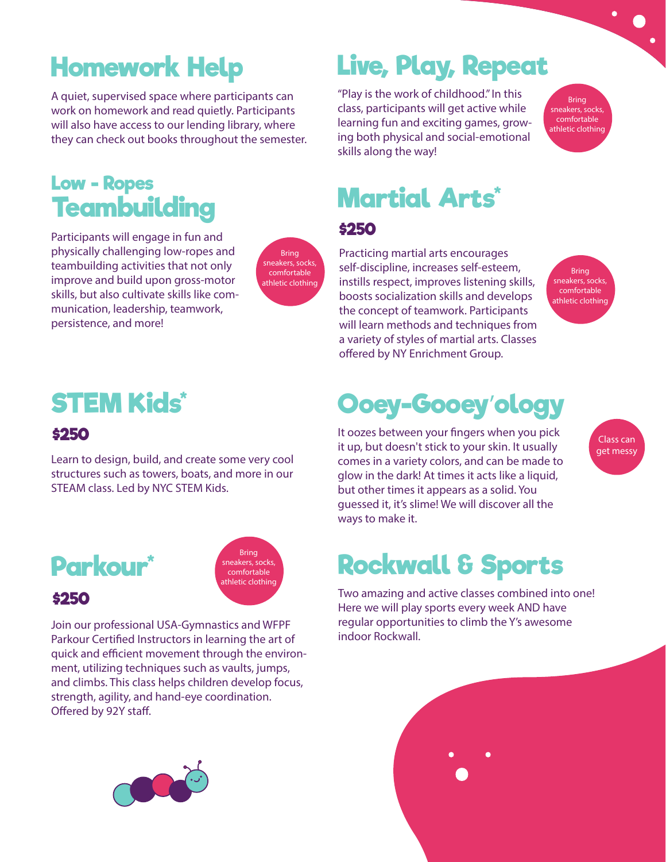## **Homework Help**

A quiet, supervised space where participants can work on homework and read quietly. Participants will also have access to our lending library, where they can check out books throughout the semester.

#### **Low - Ropes Teambuilding**

Participants will engage in fun and physically challenging low-ropes and teambuilding activities that not only improve and build upon gross-motor skills, but also cultivate skills like communication, leadership, teamwork, persistence, and more!

Bring sneakers, socks, comfortable athletic clothing

#### **\$250 STEM Kids\***

Learn to design, build, and create some very cool structures such as towers, boats, and more in our STEAM class. Led by NYC STEM Kids.



Bring sneakers, socks, comfortable athletic clothing

Join our professional USA-Gymnastics and WFPF Parkour Certified Instructors in learning the art of quick and efficient movement through the environment, utilizing techniques such as vaults, jumps, and climbs. This class helps children develop focus, strength, agility, and hand-eye coordination. Offered by 92Y staff.



## **Live, Play, Repeat**

"Play is the work of childhood." In this class, participants will get active while learning fun and exciting games, growing both physical and social-emotional skills along the way!

Bring sneakers, socks, comfortable athletic clothing

## **Martial Arts\***

#### **\$250**

Practicing martial arts encourages self-discipline, increases self-esteem, instills respect, improves listening skills, boosts socialization skills and develops the concept of teamwork. Participants will learn methods and techniques from a variety of styles of martial arts. Classes offered by NY Enrichment Group.

Bring sneakers, socks, comfortable athletic clothing

> Class can get messy

## **Ooey-Gooey**'**ology**

It oozes between your fingers when you pick it up, but doesn't stick to your skin. It usually comes in a variety colors, and can be made to glow in the dark! At times it acts like a liquid, but other times it appears as a solid. You guessed it, it's slime! We will discover all the ways to make it.

## **Rockwall & Sports**

Two amazing and active classes combined into one! Here we will play sports every week AND have regular opportunities to climb the Y's awesome indoor Rockwall.